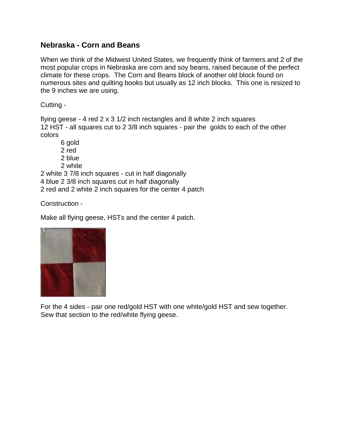## **Nebraska - Corn and Beans**

When we think of the Midwest United States, we frequently think of farmers and 2 of the most popular crops in Nebraska are corn and soy beans, raised because of the perfect climate for these crops. The Corn and Beans block of another old block found on numerous sites and quilting books but usually as 12 inch blocks. This one is resized to the 9 inches we are using.

Cutting -

flying geese - 4 red 2 x 3 1/2 inch rectangles and 8 white 2 inch squares 12 HST - all squares cut to 2 3/8 inch squares - pair the golds to each of the other colors

6 gold 2 red 2 blue 2 white

2 white 3 7/8 inch squares - cut in half diagonally 4 blue 2 3/8 inch squares cut in half diagonally 2 red and 2 white 2 inch squares for the center 4 patch

Construction -

Make all flying geese, HSTs and the center 4 patch.



For the 4 sides - pair one red/gold HST with one white/gold HST and sew together. Sew that section to the red/white flying geese.